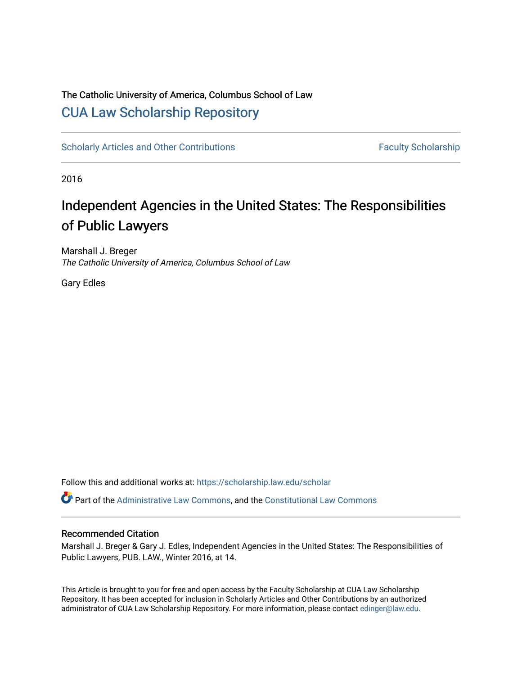### The Catholic University of America, Columbus School of Law [CUA Law Scholarship Repository](https://scholarship.law.edu/)

[Scholarly Articles and Other Contributions](https://scholarship.law.edu/scholar) Faculty Scholarship

2016

## Independent Agencies in the United States: The Responsibilities of Public Lawyers

Marshall J. Breger The Catholic University of America, Columbus School of Law

Gary Edles

Follow this and additional works at: [https://scholarship.law.edu/scholar](https://scholarship.law.edu/scholar?utm_source=scholarship.law.edu%2Fscholar%2F952&utm_medium=PDF&utm_campaign=PDFCoverPages)

Part of the [Administrative Law Commons,](http://network.bepress.com/hgg/discipline/579?utm_source=scholarship.law.edu%2Fscholar%2F952&utm_medium=PDF&utm_campaign=PDFCoverPages) and the [Constitutional Law Commons](http://network.bepress.com/hgg/discipline/589?utm_source=scholarship.law.edu%2Fscholar%2F952&utm_medium=PDF&utm_campaign=PDFCoverPages)

#### Recommended Citation

Marshall J. Breger & Gary J. Edles, Independent Agencies in the United States: The Responsibilities of Public Lawyers, PUB. LAW., Winter 2016, at 14.

This Article is brought to you for free and open access by the Faculty Scholarship at CUA Law Scholarship Repository. It has been accepted for inclusion in Scholarly Articles and Other Contributions by an authorized administrator of CUA Law Scholarship Repository. For more information, please contact [edinger@law.edu](mailto:edinger@law.edu).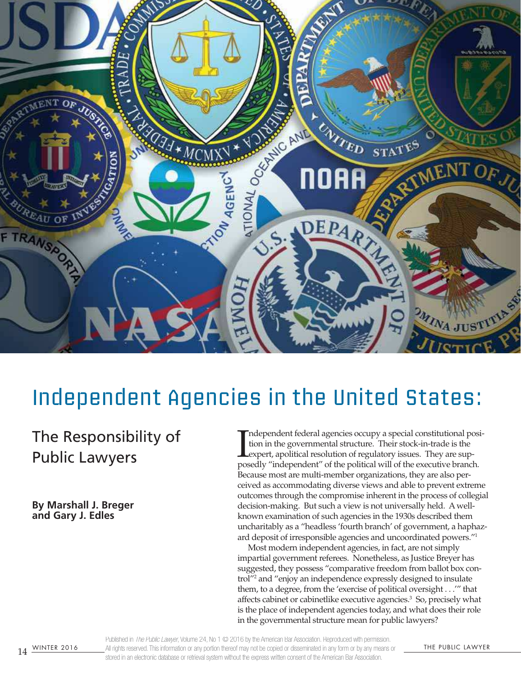

# Independent Agencies in the United States:

## The Responsibility of Public Lawyers

**By Marshall J. Breger and Gary J. Edles** 

Independent federal agencies occupy a special constitutional position in the governmental structure. Their stock-in-trade is the exepter, apolitical resolution of regulatory issues. They are supposedly "independent" of the ndependent federal agencies occupy a special constitutional position in the governmental structure. Their stock-in-trade is the expert, apolitical resolution of regulatory issues. They are sup-Because most are multi-member organizations, they are also perceived as accommodating diverse views and able to prevent extreme outcomes through the compromise inherent in the process of collegial decision-making. But such a view is not universally held. A wellknown examination of such agencies in the 1930s described them uncharitably as a "headless 'fourth branch' of government, a haphazard deposit of irresponsible agencies and uncoordinated powers."<sup>1</sup>

Most modern independent agencies, in fact, are not simply impartial government referees. Nonetheless, as Justice Breyer has suggested, they possess "comparative freedom from ballot box control"<sup>2</sup> and "enjoy an independence expressly designed to insulate them, to a degree, from the 'exercise of political oversight . . .'" that affects cabinet or cabinetlike executive agencies.<sup>3</sup> So, precisely what is the place of independent agencies today, and what does their role in the governmental structure mean for public lawyers?

14 WINTER 2016 All rights reserved. This information or any portion thereof may not be copied or disseminated in any form or by any means or THE PUBLIC LAWYER Published in The Public Lawyer, Volume 24, No 1  $\odot$  2016 by the American Bar Association. Reproduced with permission. stored in an electronic database or retrieval system without the express written consent of the American Bar Association.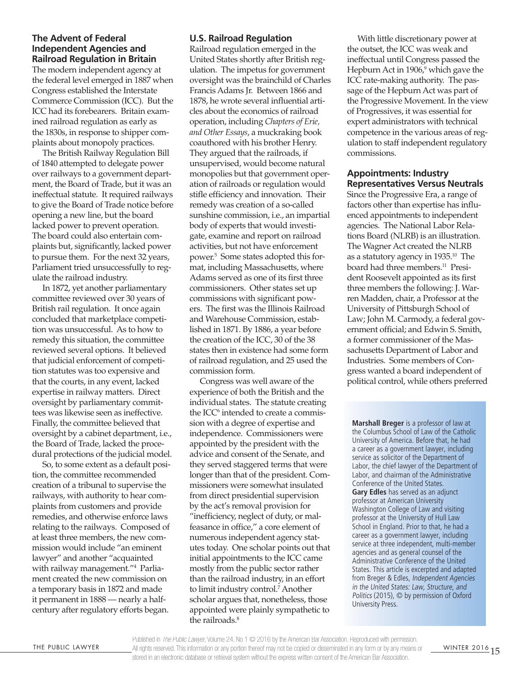#### **The Advent of Federal Independent Agencies and Railroad Regulation in Britain**

The modern independent agency at the federal level emerged in 1887 when Congress established the Interstate Commerce Commission (ICC). But the ICC had its forebearers. Britain examined railroad regulation as early as the 1830s, in response to shipper complaints about monopoly practices.

The British Railway Regulation Bill of 1840 attempted to delegate power over railways to a government department, the Board of Trade, but it was an ineffectual statute. It required railways to give the Board of Trade notice before opening a new line, but the board lacked power to prevent operation. The board could also entertain complaints but, significantly, lacked power to pursue them. For the next 32 years, Parliament tried unsuccessfully to regulate the railroad industry.

In 1872, yet another parliamentary committee reviewed over 30 years of British rail regulation. It once again concluded that marketplace competition was unsuccessful. As to how to remedy this situation, the committee reviewed several options. It believed that judicial enforcement of competition statutes was too expensive and that the courts, in any event, lacked expertise in railway matters. Direct oversight by parliamentary committees was likewise seen as ineffective. Finally, the committee believed that oversight by a cabinet department, i.e., the Board of Trade, lacked the procedural protections of the judicial model.

So, to some extent as a default position, the committee recommended creation of a tribunal to supervise the railways, with authority to hear complaints from customers and provide remedies, and otherwise enforce laws relating to the railways. Composed of at least three members, the new commission would include "an eminent lawyer" and another "acquainted with railway management."<sup>4</sup> Parliament created the new commission on a temporary basis in 1872 and made it permanent in 1888 — nearly a halfcentury after regulatory efforts began.

#### **U.S. Railroad Regulation**

Railroad regulation emerged in the United States shortly after British regulation. The impetus for government oversight was the brainchild of Charles Francis Adams Jr. Between 1866 and 1878, he wrote several inluential articles about the economics of railroad operation, including *Chapters of Erie, and Other Essays*, a muckraking book coauthored with his brother Henry. They argued that the railroads, if unsupervised, would become natural monopolies but that government operation of railroads or regulation would stile eficiency and innovation. Their remedy was creation of a so-called sunshine commission, i.e., an impartial body of experts that would investigate, examine and report on railroad activities, but not have enforcement power.<sup>5</sup> Some states adopted this format, including Massachusetts, where Adams served as one of its first three commissioners. Other states set up commissions with significant powers. The first was the Illinois Railroad and Warehouse Commission, established in 1871. By 1886, a year before the creation of the ICC, 30 of the 38 states then in existence had some form of railroad regulation, and 25 used the commission form.

Congress was well aware of the experience of both the British and the individual states. The statute creating the ICC<sup>6</sup> intended to create a commission with a degree of expertise and independence. Commissioners were appointed by the president with the advice and consent of the Senate, and they served staggered terms that were longer than that of the president. Commissioners were somewhat insulated from direct presidential supervision by the act's removal provision for "ineficiency, neglect of duty, or malfeasance in ofice," a core element of numerous independent agency statutes today. One scholar points out that initial appointments to the ICC came mostly from the public sector rather than the railroad industry, in an effort to limit industry control.<sup>7</sup> Another scholar argues that, nonetheless, those appointed were plainly sympathetic to the railroads.<sup>8</sup>

With little discretionary power at the outset, the ICC was weak and ineffectual until Congress passed the Hepburn Act in 1906,<sup>9</sup> which gave the ICC rate-making authority. The passage of the Hepburn Act was part of the Progressive Movement. In the view of Progressives, it was essential for expert administrators with technical competence in the various areas of regulation to staff independent regulatory commissions.

#### **Appointments: Industry Representatives Versus Neutrals**

Since the Progressive Era, a range of factors other than expertise has influenced appointments to independent agencies. The National Labor Relations Board (NLRB) is an illustration. The Wagner Act created the NLRB as a statutory agency in 1935.<sup>10</sup> The board had three members.<sup>11</sup> President Roosevelt appointed as its first three members the following: J. Warren Madden, chair, a Professor at the University of Pittsburgh School of Law; John M. Carmody, a federal government oficial; and Edwin S. Smith, a former commissioner of the Massachusetts Department of Labor and Industries. Some members of Congress wanted a board independent of political control, while others preferred

**Marshall Breger** is a professor of law at the Columbus School of Law of the Catholic University of America. Before that, he had a career as a government lawyer, including service as solicitor of the Department of Labor, the chief lawyer of the Department of Labor, and chairman of the Administrative Conference of the United States. **Gary Edles** has served as an adjunct professor at American University Washington College of Law and visiting professor at the University of Hull Law School in England. Prior to that, he had a career as a government lawyer, including service at three independent, multi-member agencies and as general counsel of the Administrative Conference of the United States. This article is excerpted and adapted from Breger & Edles, Independent Agencies in the United States: Law, Structure, and Politics (2015), © by permission of Oxford University Press.

THE PUBLIC LAWYER All rights reserved. This information or any portion thereof may not be copied or disseminated in any form or by any means or  $\mu$ WINTER 2016 15 Published in The Public Lawyer, Volume 24, No 1  $\odot$  2016 by the American Bar Association. Reproduced with permission. stored in an electronic database or retrieval system without the express written consent of the American Bar Association.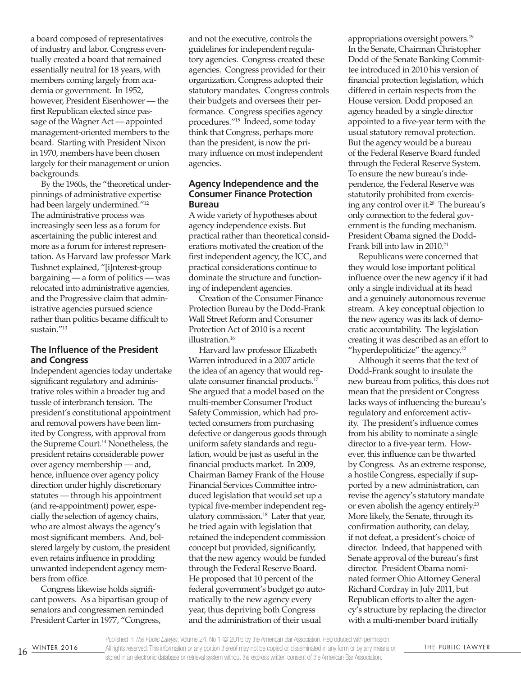a board composed of representatives of industry and labor. Congress eventually created a board that remained essentially neutral for 18 years, with members coming largely from academia or government. In 1952, however, President Eisenhower — the first Republican elected since passage of the Wagner Act — appointed management-oriented members to the board. Starting with President Nixon in 1970, members have been chosen largely for their management or union backgrounds.

By the 1960s, the "theoretical underpinnings of administrative expertise had been largely undermined."<sup>12</sup> The administrative process was increasingly seen less as a forum for ascertaining the public interest and more as a forum for interest representation. As Harvard law professor Mark Tushnet explained, "[i]nterest-group bargaining — a form of politics — was relocated into administrative agencies, and the Progressive claim that administrative agencies pursued science rather than politics became dificult to sustain."<sup>13</sup>

#### **The Influence of the President and Congress**

Independent agencies today undertake significant regulatory and administrative roles within a broader tug and tussle of interbranch tension. The president's constitutional appointment and removal powers have been limited by Congress, with approval from the Supreme Court.<sup>14</sup> Nonetheless, the president retains considerable power over agency membership — and, hence, influence over agency policy direction under highly discretionary statutes — through his appointment (and re-appointment) power, especially the selection of agency chairs, who are almost always the agency's most significant members. And, bolstered largely by custom, the president even retains influence in prodding unwanted independent agency members from ofice.

Congress likewise holds significant powers. As a bipartisan group of senators and congressmen reminded President Carter in 1977, "Congress,

and not the executive, controls the guidelines for independent regulatory agencies. Congress created these agencies. Congress provided for their organization. Congress adopted their statutory mandates. Congress controls their budgets and oversees their performance. Congress specifies agency procedures."<sup>15</sup> Indeed, some today think that Congress, perhaps more than the president, is now the primary inluence on most independent agencies.

#### **Agency Independence and the Consumer Finance Protection Bureau**

A wide variety of hypotheses about agency independence exists. But practical rather than theoretical considerations motivated the creation of the first independent agency, the ICC, and practical considerations continue to dominate the structure and functioning of independent agencies.

Creation of the Consumer Finance Protection Bureau by the Dodd-Frank Wall Street Reform and Consumer Protection Act of 2010 is a recent illustration.<sup>16</sup>

Harvard law professor Elizabeth Warren introduced in a 2007 article the idea of an agency that would regulate consumer financial products.<sup>17</sup> She argued that a model based on the multi-member Consumer Product Safety Commission, which had protected consumers from purchasing defective or dangerous goods through uniform safety standards and regulation, would be just as useful in the inancial products market. In 2009, Chairman Barney Frank of the House Financial Services Committee introduced legislation that would set up a typical five-member independent regulatory commission.<sup>18</sup> Later that year, he tried again with legislation that retained the independent commission concept but provided, significantly, that the new agency would be funded through the Federal Reserve Board. He proposed that 10 percent of the federal government's budget go automatically to the new agency every year, thus depriving both Congress and the administration of their usual

appropriations oversight powers.<sup>19</sup> In the Senate, Chairman Christopher Dodd of the Senate Banking Committee introduced in 2010 his version of inancial protection legislation, which differed in certain respects from the House version. Dodd proposed an agency headed by a single director appointed to a five-year term with the usual statutory removal protection. But the agency would be a bureau of the Federal Reserve Board funded through the Federal Reserve System. To ensure the new bureau's independence, the Federal Reserve was statutorily prohibited from exercising any control over it.<sup>20</sup> The bureau's only connection to the federal government is the funding mechanism. President Obama signed the Dodd-Frank bill into law in 2010.<sup>21</sup>

Republicans were concerned that they would lose important political influence over the new agency if it had only a single individual at its head and a genuinely autonomous revenue stream. A key conceptual objection to the new agency was its lack of democratic accountability. The legislation creating it was described as an effort to "hyperdepoliticize" the agency. $22$ 

Although it seems that the text of Dodd-Frank sought to insulate the new bureau from politics, this does not mean that the president or Congress lacks ways of influencing the bureau's regulatory and enforcement activity. The president's influence comes from his ability to nominate a single director to a five-year term. However, this influence can be thwarted by Congress. As an extreme response, a hostile Congress, especially if supported by a new administration, can revise the agency's statutory mandate or even abolish the agency entirely.<sup>23</sup> More likely, the Senate, through its confirmation authority, can delay, if not defeat, a president's choice of director. Indeed, that happened with Senate approval of the bureau's first director. President Obama nominated former Ohio Attorney General Richard Cordray in July 2011, but Republican efforts to alter the agency's structure by replacing the director with a multi-member board initially

Published in The Public Lawyer, Volume 24, No 1 @ 2016 by the American Bar Association. Reproduced with permission.

16 WINTER 2016 All rights reserved. This information or any portion thereof may not be copied or disseminated in any form or by any means or THE PUBLIC LAWYER stored in an electronic database or retrieval system without the express written consent of the American Bar Association.